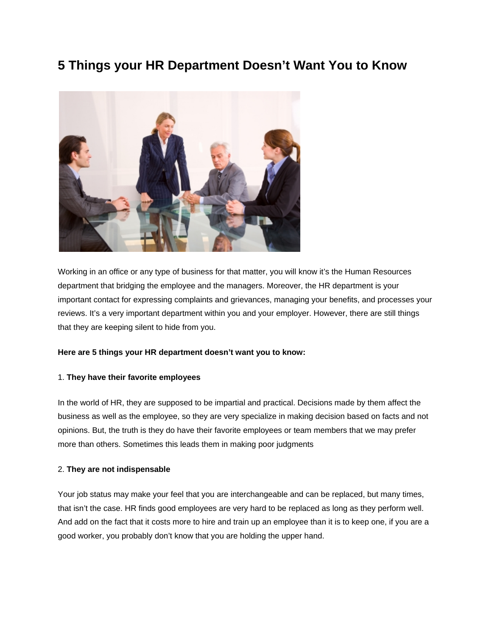# **5 Things your HR Department Doesn't Want You to Know**



Working in an office or any type of business for that matter, you will know it's the Human Resources department that bridging the employee and the managers. Moreover, the HR department is your important contact for expressing complaints and grievances, managing your benefits, and processes your reviews. It's a very important department within you and your employer. However, there are still things that they are keeping silent to hide from you.

#### **Here are 5 things your HR department doesn't want you to know:**

#### 1. **They have their favorite employees**

In the world of HR, they are supposed to be impartial and practical. Decisions made by them affect the business as well as the employee, so they are very specialize in making decision based on facts and not opinions. But, the truth is they do have their favorite employees or team members that we may prefer more than others. Sometimes this leads them in making poor judgments

## 2. **They are not indispensable**

Your job status may make your feel that you are interchangeable and can be replaced, but many times, that isn't the case. HR finds good employees are very hard to be replaced as long as they perform well. And add on the fact that it costs more to hire and train up an employee than it is to keep one, if you are a good worker, you probably don't know that you are holding the upper hand.